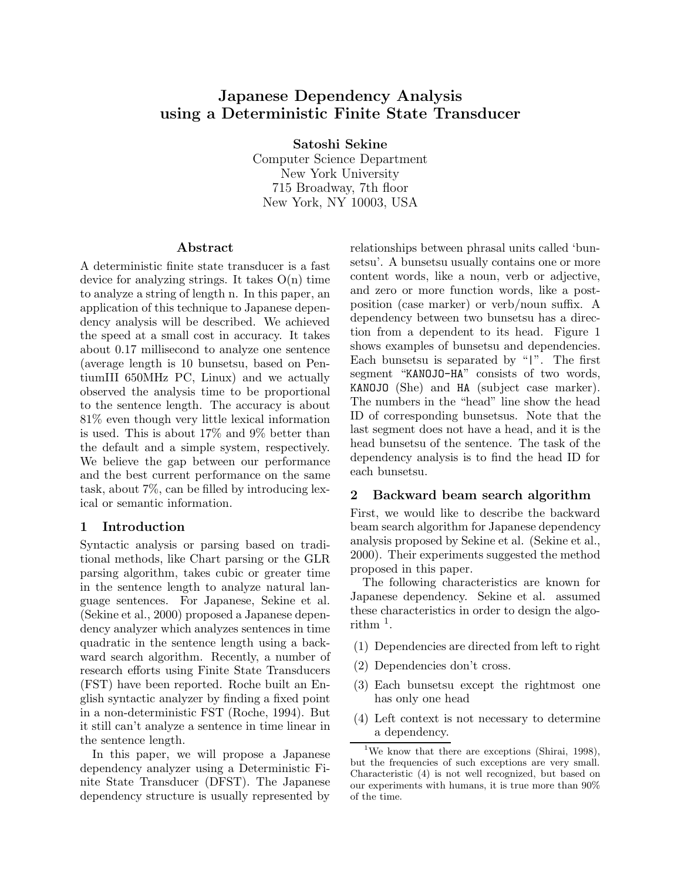# **Japanese Dependency Analysis using a Deterministic Finite State Transducer**

**Satoshi Sekine**

Computer Science Department New York University 715 Broadway, 7th floor New York, NY 10003, USA

#### **Abstract**

A deterministic finite state transducer is a fast device for analyzing strings. It takes  $O(n)$  time to analyze a string of length n. In this paper, an application of this technique to Japanese dependency analysis will be described. We achieved the speed at a small cost in accuracy. It takes about 0.17 millisecond to analyze one sentence (average length is 10 bunsetsu, based on PentiumIII 650MHz PC, Linux) and we actually observed the analysis time to be proportional to the sentence length. The accuracy is about 81% even though very little lexical information is used. This is about 17% and 9% better than the default and a simple system, respectively. We believe the gap between our performance and the best current performance on the same task, about 7%, can be filled by introducing lexical or semantic information.

#### **1 Introduction**

Syntactic analysis or parsing based on traditional methods, like Chart parsing or the GLR parsing algorithm, takes cubic or greater time in the sentence length to analyze natural language sentences. For Japanese, Sekine et al. (Sekine et al., 2000) proposed a Japanese dependency analyzer which analyzes sentences in time quadratic in the sentence length using a backward search algorithm. Recently, a number of research efforts using Finite State Transducers (FST) have been reported. Roche built an English syntactic analyzer by finding a fixed point in a non-deterministic FST (Roche, 1994). But it still can't analyze a sentence in time linear in the sentence length.

In this paper, we will propose a Japanese dependency analyzer using a Deterministic Finite State Transducer (DFST). The Japanese dependency structure is usually represented by relationships between phrasal units called 'bunsetsu'. A bunsetsu usually contains one or more content words, like a noun, verb or adjective, and zero or more function words, like a postposition (case marker) or verb/noun suffix. A dependency between two bunsetsu has a direction from a dependent to its head. Figure 1 shows examples of bunsetsu and dependencies. Each bunsetsu is separated by "|". The first segment "KANOJO-HA" consists of two words, KANOJO (She) and HA (subject case marker). The numbers in the "head" line show the head ID of corresponding bunsetsus. Note that the last segment does not have a head, and it is the head bunsetsu of the sentence. The task of the dependency analysis is to find the head ID for each bunsetsu.

## **2 Backward beam search algorithm**

First, we would like to describe the backward beam search algorithm for Japanese dependency analysis proposed by Sekine et al. (Sekine et al., 2000). Their experiments suggested the method proposed in this paper.

The following characteristics are known for Japanese dependency. Sekine et al. assumed these characteristics in order to design the algorithm  $<sup>1</sup>$ .</sup>

- (1) Dependencies are directed from left to right
- (2) Dependencies don't cross.
- (3) Each bunsetsu except the rightmost one has only one head
- (4) Left context is not necessary to determine a dependency.

<sup>&</sup>lt;sup>1</sup>We know that there are exceptions (Shirai, 1998), but the frequencies of such exceptions are very small. Characteristic (4) is not well recognized, but based on our experiments with humans, it is true more than 90% of the time.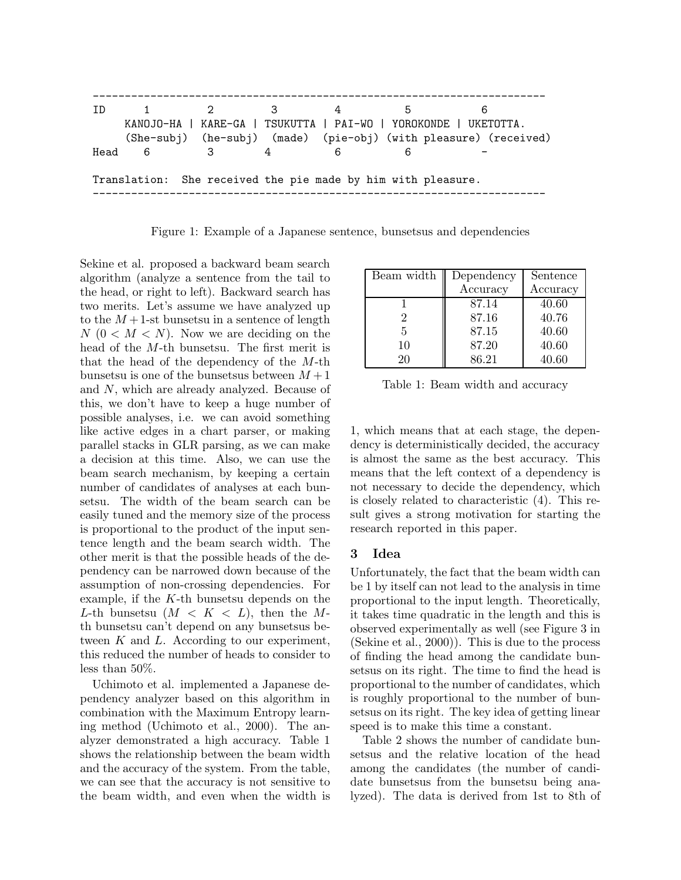

Figure 1: Example of a Japanese sentence, bunsetsus and dependencies

Sekine et al. proposed a backward beam search algorithm (analyze a sentence from the tail to the head, or right to left). Backward search has two merits. Let's assume we have analyzed up to the  $M+1$ -st bunsetsu in a sentence of length  $N (0 < M < N)$ . Now we are deciding on the head of the M-th bunsetsu. The first merit is that the head of the dependency of the  $M$ -th bunsetsu is one of the bunsetsus between  $M + 1$ and N, which are already analyzed. Because of this, we don't have to keep a huge number of possible analyses, i.e. we can avoid something like active edges in a chart parser, or making parallel stacks in GLR parsing, as we can make a decision at this time. Also, we can use the beam search mechanism, by keeping a certain number of candidates of analyses at each bunsetsu. The width of the beam search can be easily tuned and the memory size of the process is proportional to the product of the input sentence length and the beam search width. The other merit is that the possible heads of the dependency can be narrowed down because of the assumption of non-crossing dependencies. For example, if the  $K$ -th bunsetsu depends on the L-th bunsetsu  $(M < K < L)$ , then the Mth bunsetsu can't depend on any bunsetsus between  $K$  and  $L$ . According to our experiment, this reduced the number of heads to consider to less than 50%.

Uchimoto et al. implemented a Japanese dependency analyzer based on this algorithm in combination with the Maximum Entropy learning method (Uchimoto et al., 2000). The analyzer demonstrated a high accuracy. Table 1 shows the relationship between the beam width and the accuracy of the system. From the table, we can see that the accuracy is not sensitive to the beam width, and even when the width is

| Beam width | Dependency | Sentence |
|------------|------------|----------|
|            | Accuracy   | Accuracy |
|            | 87.14      | 40.60    |
| 2          | 87.16      | 40.76    |
| 5          | 87.15      | 40.60    |
| 10         | 87.20      | 40.60    |
| 20         | 86.21      | 40.60    |

Table 1: Beam width and accuracy

1, which means that at each stage, the dependency is deterministically decided, the accuracy is almost the same as the best accuracy. This means that the left context of a dependency is not necessary to decide the dependency, which is closely related to characteristic (4). This result gives a strong motivation for starting the research reported in this paper.

## **3 Idea**

Unfortunately, the fact that the beam width can be 1 by itself can not lead to the analysis in time proportional to the input length. Theoretically, it takes time quadratic in the length and this is observed experimentally as well (see Figure 3 in (Sekine et al., 2000)). This is due to the process of finding the head among the candidate bunsetsus on its right. The time to find the head is proportional to the number of candidates, which is roughly proportional to the number of bunsetsus on its right. The key idea of getting linear speed is to make this time a constant.

Table 2 shows the number of candidate bunsetsus and the relative location of the head among the candidates (the number of candidate bunsetsus from the bunsetsu being analyzed). The data is derived from 1st to 8th of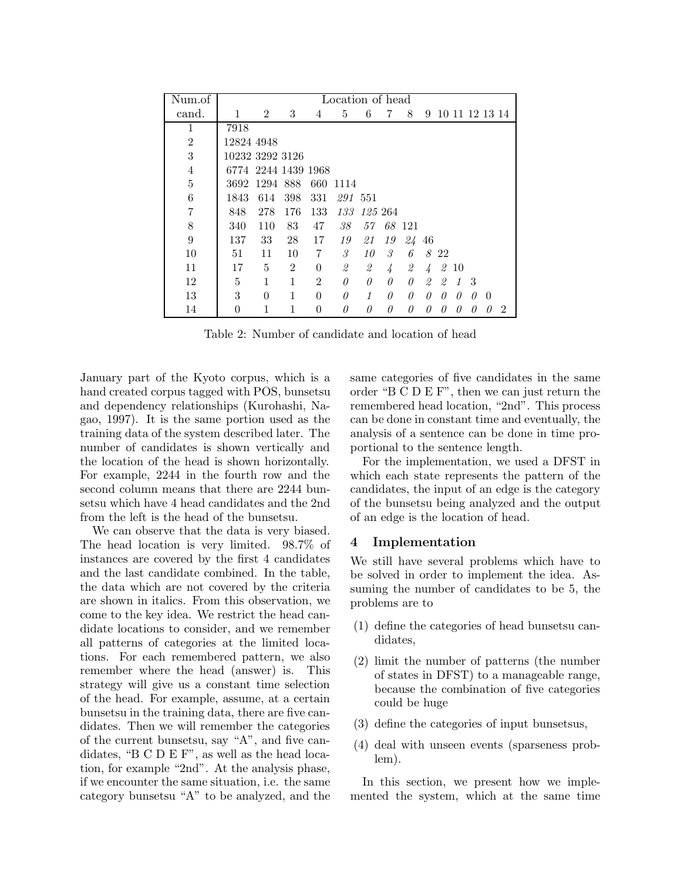| Num.of         |                     |                |                |                | Location of head |                |               |          |               |                |                |   |          |                |
|----------------|---------------------|----------------|----------------|----------------|------------------|----------------|---------------|----------|---------------|----------------|----------------|---|----------|----------------|
| cand.          | 1                   | $\overline{2}$ | 3              | 4              | 5                | 6              | 7             | 8        | 9             |                | 10 11 12 13 14 |   |          |                |
| 1              | 7918                |                |                |                |                  |                |               |          |               |                |                |   |          |                |
| $\overline{2}$ | 12824 4948          |                |                |                |                  |                |               |          |               |                |                |   |          |                |
| 3              | 10232 3292 3126     |                |                |                |                  |                |               |          |               |                |                |   |          |                |
| $\overline{4}$ | 6774 2244 1439 1968 |                |                |                |                  |                |               |          |               |                |                |   |          |                |
| 5              | 3692                | 1294 888       |                | 660            | 1114             |                |               |          |               |                |                |   |          |                |
| 6              | 1843                | 614            | 398            | 331            | 291 551          |                |               |          |               |                |                |   |          |                |
| 7              | 848                 | 278            | 176            | 133            | 133              |                | 125 264       |          |               |                |                |   |          |                |
| 8              | 340                 | 110            | 83             | 47             | 38               | 57             |               | 68 121   |               |                |                |   |          |                |
| 9              | 137                 | 33             | 28             | 17             | 19               | 21             | 19            | 24 46    |               |                |                |   |          |                |
| 10             | 51                  | 11             | 10             | 7              | 3                | 10             | $\mathcal{S}$ | 6        |               | 8 22           |                |   |          |                |
| 11             | 17                  | 5              | $\mathfrak{D}$ | $\theta$       | $\mathcal{Q}$    | $\mathfrak{D}$ | 4             | 2        | $\frac{1}{4}$ | 2              | 10             |   |          |                |
| 12             | 5                   | 1              | 1              | $\overline{2}$ | 0                | $\theta$       | $\theta$      | 0        | 2             | $\mathfrak{D}$ | $\mathcal I$   | 3 |          |                |
| 13             | 3                   | $\theta$       | 1              | $\theta$       | 0                | 1              | $\theta$      | $\theta$ | 0             | 0              | $\theta$       | 0 | $\Omega$ |                |
| 14             | $\Omega$            | 1              | 1              | $\theta$       | 0                | $\theta$       | $\theta$      | 0        | 0             | 0              | $\theta$       | 0 | $\theta$ | $\overline{2}$ |

Table 2: Number of candidate and location of head

January part of the Kyoto corpus, which is a hand created corpus tagged with POS, bunsetsu and dependency relationships (Kurohashi, Nagao, 1997). It is the same portion used as the training data of the system described later. The number of candidates is shown vertically and the location of the head is shown horizontally. For example, 2244 in the fourth row and the second column means that there are 2244 bunsetsu which have 4 head candidates and the 2nd from the left is the head of the bunsetsu.

We can observe that the data is very biased. The head location is very limited. 98.7% of instances are covered by the first 4 candidates and the last candidate combined. In the table, the data which are not covered by the criteria are shown in italics. From this observation, we come to the key idea. We restrict the head candidate locations to consider, and we remember all patterns of categories at the limited locations. For each remembered pattern, we also remember where the head (answer) is. This strategy will give us a constant time selection of the head. For example, assume, at a certain bunsetsu in the training data, there are five candidates. Then we will remember the categories of the current bunsetsu, say "A", and five candidates, "B C D E F", as well as the head location, for example "2nd". At the analysis phase, if we encounter the same situation, i.e. the same category bunsetsu "A" to be analyzed, and the same categories of five candidates in the same order "B C D E F", then we can just return the remembered head location, "2nd". This process can be done in constant time and eventually, the analysis of a sentence can be done in time proportional to the sentence length.

For the implementation, we used a DFST in which each state represents the pattern of the candidates, the input of an edge is the category of the bunsetsu being analyzed and the output of an edge is the location of head.

## **4 Implementation**

We still have several problems which have to be solved in order to implement the idea. Assuming the number of candidates to be 5, the problems are to

- (1) define the categories of head bunsetsu candidates,
- (2) limit the number of patterns (the number of states in DFST) to a manageable range, because the combination of five categories could be huge
- (3) define the categories of input bunsetsus,
- (4) deal with unseen events (sparseness problem).

In this section, we present how we implemented the system, which at the same time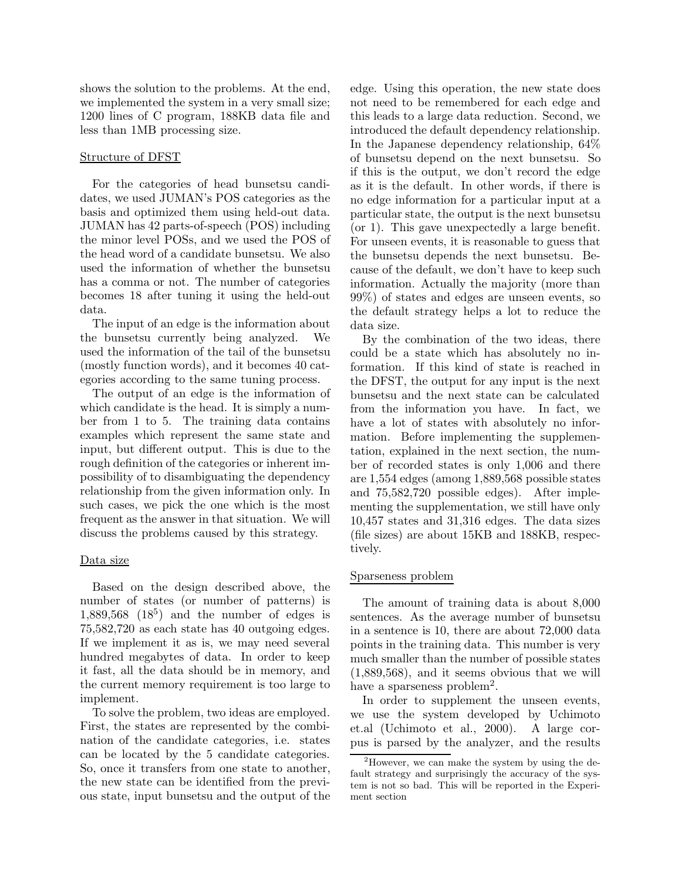shows the solution to the problems. At the end, we implemented the system in a very small size; 1200 lines of C program, 188KB data file and less than 1MB processing size.

#### Structure of DFST

For the categories of head bunsetsu candidates, we used JUMAN's POS categories as the basis and optimized them using held-out data. JUMAN has 42 parts-of-speech (POS) including the minor level POSs, and we used the POS of the head word of a candidate bunsetsu. We also used the information of whether the bunsetsu has a comma or not. The number of categories becomes 18 after tuning it using the held-out data.

The input of an edge is the information about the bunsetsu currently being analyzed. We used the information of the tail of the bunsetsu (mostly function words), and it becomes 40 categories according to the same tuning process.

The output of an edge is the information of which candidate is the head. It is simply a number from 1 to 5. The training data contains examples which represent the same state and input, but different output. This is due to the rough definition of the categories or inherent impossibility of to disambiguating the dependency relationship from the given information only. In such cases, we pick the one which is the most frequent as the answer in that situation. We will discuss the problems caused by this strategy.

#### Data size

Based on the design described above, the number of states (or number of patterns) is  $1,889,568$   $(18^5)$  and the number of edges is 75,582,720 as each state has 40 outgoing edges. If we implement it as is, we may need several hundred megabytes of data. In order to keep it fast, all the data should be in memory, and the current memory requirement is too large to implement.

To solve the problem, two ideas are employed. First, the states are represented by the combination of the candidate categories, i.e. states can be located by the 5 candidate categories. So, once it transfers from one state to another, the new state can be identified from the previous state, input bunsetsu and the output of the edge. Using this operation, the new state does not need to be remembered for each edge and this leads to a large data reduction. Second, we introduced the default dependency relationship. In the Japanese dependency relationship, 64% of bunsetsu depend on the next bunsetsu. So if this is the output, we don't record the edge as it is the default. In other words, if there is no edge information for a particular input at a particular state, the output is the next bunsetsu (or 1). This gave unexpectedly a large benefit. For unseen events, it is reasonable to guess that the bunsetsu depends the next bunsetsu. Because of the default, we don't have to keep such information. Actually the majority (more than 99%) of states and edges are unseen events, so the default strategy helps a lot to reduce the data size.

By the combination of the two ideas, there could be a state which has absolutely no information. If this kind of state is reached in the DFST, the output for any input is the next bunsetsu and the next state can be calculated from the information you have. In fact, we have a lot of states with absolutely no information. Before implementing the supplementation, explained in the next section, the number of recorded states is only 1,006 and there are 1,554 edges (among 1,889,568 possible states and 75,582,720 possible edges). After implementing the supplementation, we still have only 10,457 states and 31,316 edges. The data sizes (file sizes) are about 15KB and 188KB, respectively.

#### Sparseness problem

The amount of training data is about 8,000 sentences. As the average number of bunsetsu in a sentence is 10, there are about 72,000 data points in the training data. This number is very much smaller than the number of possible states (1,889,568), and it seems obvious that we will have a sparseness problem<sup>2</sup>.

In order to supplement the unseen events, we use the system developed by Uchimoto et.al (Uchimoto et al., 2000). A large corpus is parsed by the analyzer, and the results

<sup>&</sup>lt;sup>2</sup>However, we can make the system by using the default strategy and surprisingly the accuracy of the system is not so bad. This will be reported in the Experiment section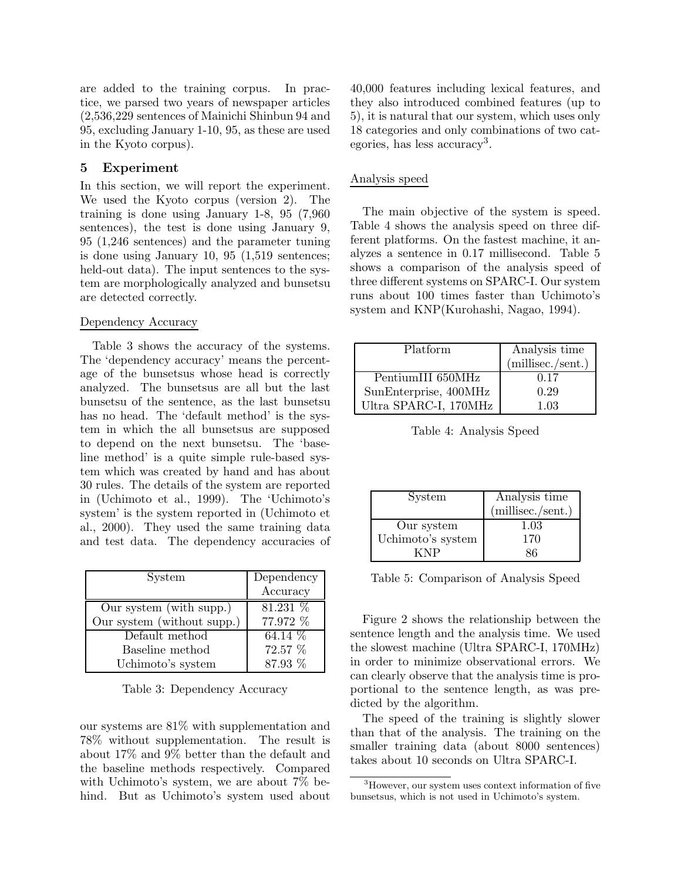are added to the training corpus. In practice, we parsed two years of newspaper articles (2,536,229 sentences of Mainichi Shinbun 94 and 95, excluding January 1-10, 95, as these are used in the Kyoto corpus).

#### **5 Experiment**

In this section, we will report the experiment. We used the Kyoto corpus (version 2). The training is done using January 1-8, 95 (7,960 sentences), the test is done using January 9, 95 (1,246 sentences) and the parameter tuning is done using January 10, 95 (1,519 sentences; held-out data). The input sentences to the system are morphologically analyzed and bunsetsu are detected correctly.

#### Dependency Accuracy

Table 3 shows the accuracy of the systems. The 'dependency accuracy' means the percentage of the bunsetsus whose head is correctly analyzed. The bunsetsus are all but the last bunsetsu of the sentence, as the last bunsetsu has no head. The 'default method' is the system in which the all bunsetsus are supposed to depend on the next bunsetsu. The 'baseline method' is a quite simple rule-based system which was created by hand and has about 30 rules. The details of the system are reported in (Uchimoto et al., 1999). The 'Uchimoto's system' is the system reported in (Uchimoto et al., 2000). They used the same training data and test data. The dependency accuracies of

| System                     | Dependency |
|----------------------------|------------|
|                            | Accuracy   |
| Our system (with supp.)    | 81.231 %   |
| Our system (without supp.) | 77.972 %   |
| Default method             | $64.14\%$  |
| Baseline method            | 72.57 %    |
| Uchimoto's system          | 87.93 %    |

Table 3: Dependency Accuracy

our systems are 81% with supplementation and 78% without supplementation. The result is about 17% and 9% better than the default and the baseline methods respectively. Compared with Uchimoto's system, we are about 7% behind. But as Uchimoto's system used about 40,000 features including lexical features, and they also introduced combined features (up to 5), it is natural that our system, which uses only 18 categories and only combinations of two categories, has less accuracy3.

# Analysis speed

The main objective of the system is speed. Table 4 shows the analysis speed on three different platforms. On the fastest machine, it analyzes a sentence in 0.17 millisecond. Table 5 shows a comparison of the analysis speed of three different systems on SPARC-I. Our system runs about 100 times faster than Uchimoto's system and KNP(Kurohashi, Nagao, 1994).

| Platform              | Analysis time     |
|-----------------------|-------------------|
|                       | (millisec./sent.) |
| PentiumIII 650MHz     | 0.17              |
| SunEnterprise, 400MHz | 0.29              |
| Ultra SPARC-I, 170MHz | 1.03              |

Table 4: Analysis Speed

| System            | Analysis time     |  |  |  |  |
|-------------------|-------------------|--|--|--|--|
|                   | (millisec./sent.) |  |  |  |  |
| Our system        | 1.03              |  |  |  |  |
| Uchimoto's system | 170               |  |  |  |  |
|                   |                   |  |  |  |  |

Table 5: Comparison of Analysis Speed

Figure 2 shows the relationship between the sentence length and the analysis time. We used the slowest machine (Ultra SPARC-I, 170MHz) in order to minimize observational errors. We can clearly observe that the analysis time is proportional to the sentence length, as was predicted by the algorithm.

The speed of the training is slightly slower than that of the analysis. The training on the smaller training data (about 8000 sentences) takes about 10 seconds on Ultra SPARC-I.

<sup>3</sup>However, our system uses context information of five bunsetsus, which is not used in Uchimoto's system.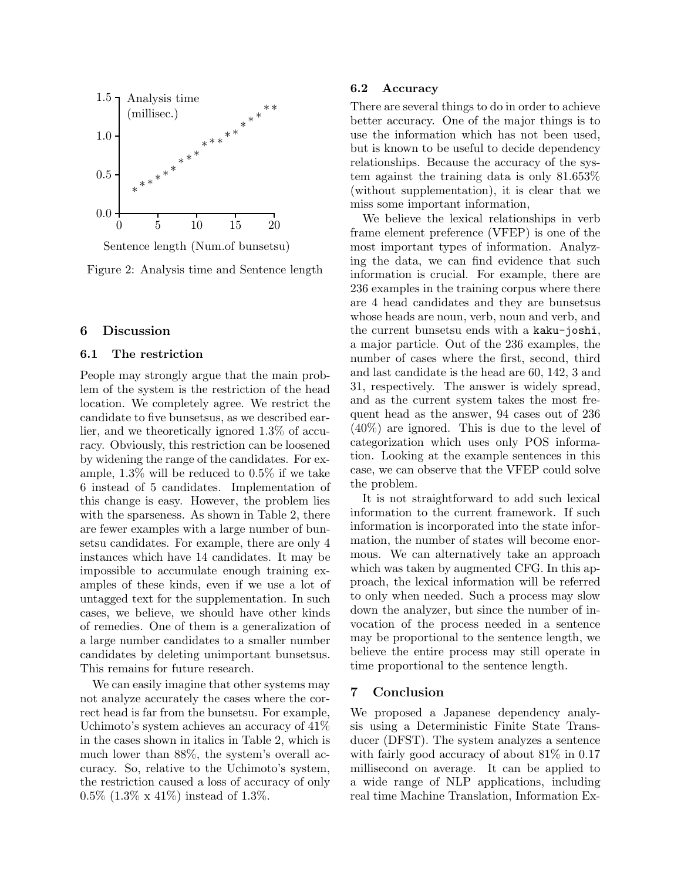

Sentence length (Num.of bunsetsu)

Figure 2: Analysis time and Sentence length

#### **6 Discussion**

#### **6.1 The restriction**

People may strongly argue that the main problem of the system is the restriction of the head location. We completely agree. We restrict the candidate to five bunsetsus, as we described earlier, and we theoretically ignored 1.3% of accuracy. Obviously, this restriction can be loosened by widening the range of the candidates. For example, 1.3% will be reduced to 0.5% if we take 6 instead of 5 candidates. Implementation of this change is easy. However, the problem lies with the sparseness. As shown in Table 2, there are fewer examples with a large number of bunsetsu candidates. For example, there are only 4 instances which have 14 candidates. It may be impossible to accumulate enough training examples of these kinds, even if we use a lot of untagged text for the supplementation. In such cases, we believe, we should have other kinds of remedies. One of them is a generalization of a large number candidates to a smaller number candidates by deleting unimportant bunsetsus. This remains for future research.

We can easily imagine that other systems may not analyze accurately the cases where the correct head is far from the bunsetsu. For example, Uchimoto's system achieves an accuracy of 41% in the cases shown in italics in Table 2, which is much lower than 88%, the system's overall accuracy. So, relative to the Uchimoto's system, the restriction caused a loss of accuracy of only 0.5% (1.3% x 41%) instead of 1.3%.

## **6.2 Accuracy**

There are several things to do in order to achieve better accuracy. One of the major things is to use the information which has not been used, but is known to be useful to decide dependency relationships. Because the accuracy of the system against the training data is only 81.653% (without supplementation), it is clear that we miss some important information,

We believe the lexical relationships in verb frame element preference (VFEP) is one of the most important types of information. Analyzing the data, we can find evidence that such information is crucial. For example, there are 236 examples in the training corpus where there are 4 head candidates and they are bunsetsus whose heads are noun, verb, noun and verb, and the current bunsetsu ends with a kaku-joshi, a major particle. Out of the 236 examples, the number of cases where the first, second, third and last candidate is the head are 60, 142, 3 and 31, respectively. The answer is widely spread, and as the current system takes the most frequent head as the answer, 94 cases out of 236 (40%) are ignored. This is due to the level of categorization which uses only POS information. Looking at the example sentences in this case, we can observe that the VFEP could solve the problem.

It is not straightforward to add such lexical information to the current framework. If such information is incorporated into the state information, the number of states will become enormous. We can alternatively take an approach which was taken by augmented CFG. In this approach, the lexical information will be referred to only when needed. Such a process may slow down the analyzer, but since the number of invocation of the process needed in a sentence may be proportional to the sentence length, we believe the entire process may still operate in time proportional to the sentence length.

## **7 Conclusion**

We proposed a Japanese dependency analysis using a Deterministic Finite State Transducer (DFST). The system analyzes a sentence with fairly good accuracy of about 81% in 0.17 millisecond on average. It can be applied to a wide range of NLP applications, including real time Machine Translation, Information Ex